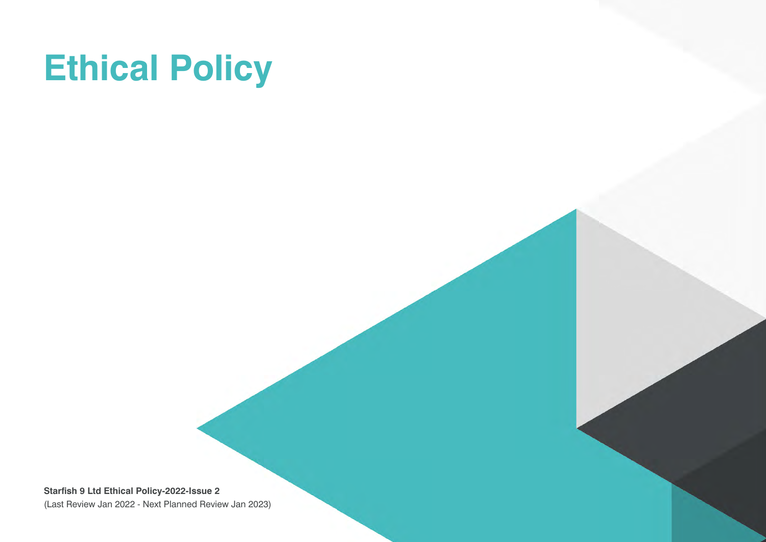# **Ethical Policy**

**Starfish 9 Ltd Ethical Policy-2022-Issue 2** (Last Review Jan 2022 - Next Planned Review Jan 2023)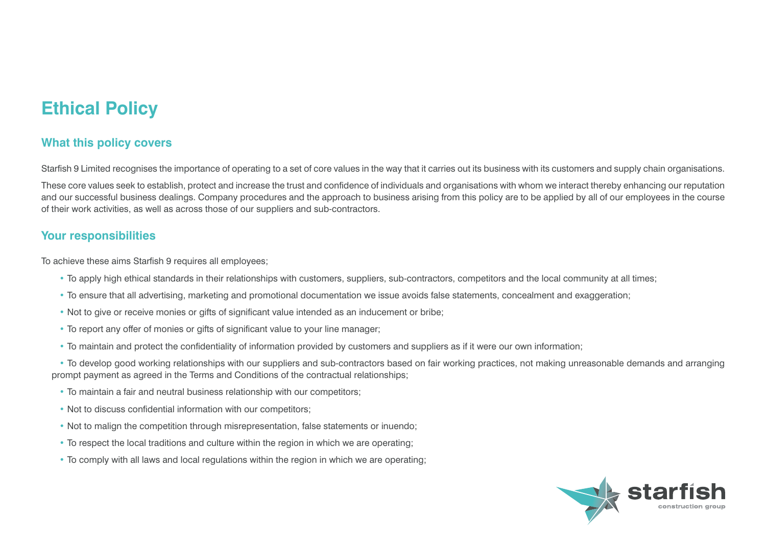## **Ethical Policy**

### **What this policy covers**

Starfish 9 Limited recognises the importance of operating to a set of core values in the way that it carries out its business with its customers and supply chain organisations.

These core values seek to establish, protect and increase the trust and confidence of individuals and organisations with whom we interact thereby enhancing our reputation and our successful business dealings. Company procedures and the approach to business arising from this policy are to be applied by all of our employees in the course of their work activities, as well as across those of our suppliers and sub-contractors.

#### **Your responsibilities**

To achieve these aims Starfish 9 requires all employees;

- To apply high ethical standards in their relationships with customers, suppliers, sub-contractors, competitors and the local community at all times;
- To ensure that all advertising, marketing and promotional documentation we issue avoids false statements, concealment and exaggeration;
- Not to give or receive monies or gifts of significant value intended as an inducement or bribe;
- To report any offer of monies or gifts of significant value to your line manager;
- To maintain and protect the confidentiality of information provided by customers and suppliers as if it were our own information;

• To develop good working relationships with our suppliers and sub-contractors based on fair working practices, not making unreasonable demands and arranging prompt payment as agreed in the Terms and Conditions of the contractual relationships;

- To maintain a fair and neutral business relationship with our competitors;
- Not to discuss confidential information with our competitors;
- Not to malign the competition through misrepresentation, false statements or inuendo;
- To respect the local traditions and culture within the region in which we are operating;
- To comply with all laws and local regulations within the region in which we are operating;